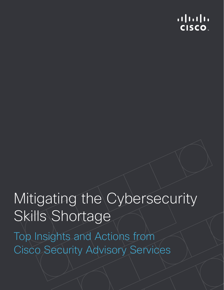## $1111111$ **CISCO**

# Mitigating the Cybersecurity Skills Shortage

Top Insights and Actions from Cisco Security Advisory Services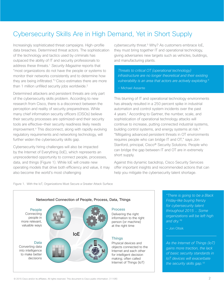## Cybersecurity Skills Are in High Demand, Yet in Short Supply

Increasingly sophisticated threat campaigns. High-profile data breaches. Determined threat actors. The sophistication of the technology and tactics used by criminals has outpaced the ability of IT and security professionals to address these threats.1 *Security Magazine* reports that "most organizations do not have the people or systems to monitor their networks consistently and to determine how they are being infiltrated."2 Cisco estimates there are more than 1 million unfilled security jobs worldwide.<sup>3</sup>

Determined attackers and persistent threats are only part of the cybersecurity skills problem. According to new research from Cisco, there is a disconnect between the perception and reality of security preparedness. While many chief information security officers (CISOs) believe their security processes are optimized—and their security tools are effective—their security readiness likely needs improvement.4 This disconnect, along with rapidly evolving regulatory requirements and networking technology, will further widen the cybersecurity skills gap.

Cybersecurity hiring challenges will also be impacted by the Internet of Everything (IoE), which represents an unprecedented opportunity to connect people, processes, data, and things (Figure 1). While IoE will create new operating models that drive both efficiency and value, it may also become the world's most challenging

cybersecurity threat.<sup>5</sup> Why? As customers embrace IoE, they must bring together IT and operational technology, giving adversaries new targets such as vehicles, buildings, and manufacturing plants.

*Threats to critical OT (operational technology) infrastructure are no longer theoretical and their existing vulnerability is an area that actors are actively exploiting.6*

— Michael Assante

This blurring of IT and operational technology environments has already resulted in a 250 percent spike in industrial automation and control system incidents over the past 4 years.7 According to Gartner, the number, scale, and sophistication of operational technology attacks will continue to increase, putting connected industrial systems, building control systems, and energy systems at risk.<sup>8</sup> "Mitigating advanced persistent threats in OT environments requires people who can bridge IT and OT," says Jon Stanford, principal, Cisco® Security Solutions. People who can bridge the gap between IT and OT are in extremely short supply.

Against this dynamic backdrop, Cisco Security Services offer important insights and recommended actions that can help you mitigate the cybersecurity talent shortage.





*"There is going to be a Black Friday–like buying frenzy for cybersecurity talent throughout 2015 … Some organizations will be left high and dry."9*

— Jon Oltsik

*As the Internet of Things (IoT) gains more traction, the lack of basic security standards in IoT devices will exacerbate the security skills gap.10*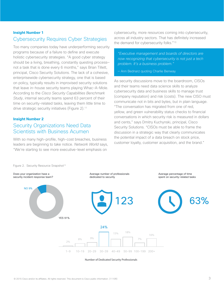#### **Insight Number 1** Cybersecurity Requires Cyber Strategies

Too many companies today have underperforming security programs because of a failure to define and execute holistic cybersecurity strategies. "A good cyber strategy should be a living, breathing, constantly questing process not a task that is done every 6 months," says Brian Tillett, principal, Cisco Security Solutions. The lack of a cohesive, enterprisewide cybersecurity strategy, one that is based on policy, typically results in improvised security solutions that leave in-house security teams playing Whac-A-Mole. According to the *Cisco Security Capabilities Benchmark Study*, internal security teams spend 63 percent of their time on security-related tasks, leaving them little time to drive strategic security initiatives (Figure 2).<sup>11</sup>

## **Insight Number 2**

#### Security Organizations Need Data Scientists with Business Acumen magnetumber =<br>Security Organizations Need Data

With so many high-profile, high-cost breaches, business leaders are beginning to take notice. *Network World* says, "We're starting to see more executive-level emphasis on With so many high-profile, high-cost breaches, business

cybersecurity, more resources coming into cybersecurity, across all industry sectors. That has definitely increased the demand for cybersecurity folks."13

*"Executive management and boards of directors are now recognizing that cybersecurity is not just a tech problem. It's a business problem."* 

— Ann Bednarz quoting Charlie Benway

As security discussions move to the boardroom, CISOs and their teams need data science skills to analyze cybersecurity data and business skills to manage trust (company reputation) and risk (costs). The new CISO must communicate not in bits and bytes, but in plain language. "The conversation has migrated from one of red, yellow, and green vulnerability status checks to financial conversations in which security risk is measured in dollars and cents," says Dmitry Kuchynski, principal, Cisco Security Solutions. "CISOs must be able to frame the discussion in a strategic way that clearly communicates and the control of the strategies of the control of the control of the control of the control of the control of the control of the control of the control of the contr discussion in a strategic way that clearly communicated.<br>the potential impact of a data breach on stock price, customer loyalty, customer acquisition, and the brand."  $\mathcal{L}$ 



Number of Dedicated Security Professionals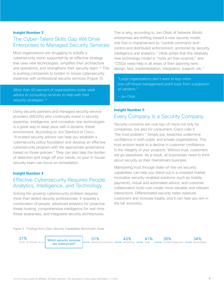#### **Insight Number 3**

### The Cyber-Talent Skills Gap Will Drive Enterprises to Managed Security Services

Most organizations are struggling to solidify a cybersecurity vision supported by an effective strategy that uses new technologies, simplifies their architecture and operations, and strengthens their security team.14 This is pushing companies to bolster in-house cybersecurity expertise with professional security services (Figure 3).

*More than 50 percent of organizations today seek advice or consulting services to help with their security strategies.15*

Using security partners and managed security service providers (MSSPs) who continually invest in security expertise, intelligence, and innovative new technologies is a great way to keep pace with a dynamic threat environment. According to Jon Stanford of Cisco, "A trusted security advisor can help you establish a cybersecurity policy foundation and develop an effective cybersecurity program with the appropriate governance based on those policies." They can also take the burden of detection and triage off your hands, so your in-house security team can focus on remediation.

#### **Insight Number 4**

## Effective Cybersecurity Requires People, Analytics, Intelligence, and Technology

Solving the growing cybersecurity problem requires more than skilled security professionals. It requires a combination of people, advanced analytics for proactive threat hunting, comprehensive intelligence for real-time threat awareness, and integrated security architectures.

This is why, according to Jon Oltsik of Network World, enterprises are shifting toward a new security model, one that is characterized by "central command-andcontrol and distributed enforcement, anchored by security intelligence and analytics." Oltsik writes that this relatively new technology model is "more art than science," and "CISOs need help in all areas of their planning here: design, test, implementation, integration, support, etc."

*"Large organizations don't want to buy more one-off threat management point tools from a potpourri of vendors."* 

— Jon Oltsik

#### **Insight Number 5** Every Company Is a Security Company

Security concerns are now top-of-mind not only for companies, but also for consumers. Cisco calls it "the trust problem." Simply put, breaches undermine confidence in both public and private organizations. This trust erosion leads to a decline in customer confidence in the integrity of your products. Without trust, customers will go elsewhere. As a result, all businesses need to think about security as their mainstream business.

Maintaining trust through state-of-the-art security capabilities can help you stand out in a crowded market. Innovative security-enabled solutions—such as mobile payments, virtual and automated advice, and customer collaboration tools—can create more valuable and relevant interactions. Differentiated security helps reassure customers and increase loyalty, and it can help you win in the IoE economy.



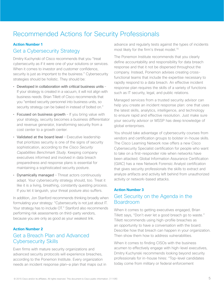## Recommended Actions for Security Professionals

#### **Action Number 1**

#### Get a Cybersecurity Strategy

Dmitry Kuchynski of Cisco recommends that you "treat cybersecurity as if it were one of your solutions or services. When it comes to investor and customer confidence, security is just as important to the business." Cybersecurity strategies should be holistic. They should be:

- Developed in collaboration with critical business units If your strategy is created in a vacuum, it will not align with business needs. Brian Tillett of Cisco recommends that you "embed security personnel into business units, so security strategy can be baked in instead of bolted on."
- Focused on business growth If you bring value with your strategy, security becomes a business differentiator and revenue generator, transforming security from a cost center to a growth center.
- Validated at the board level Executive leadership that prioritizes security is one of the signs of security sophistication, according to the *Cisco Security Capabilities Benchmark Study*. Keeping company executives informed and involved in data breach preparedness and response plans is essential for maintaining a sophisticated security posture.
- Dynamically managed Threat actors continuously adapt. Your cybersecurity strategy should, too. Treat it like it is a living, breathing, constantly questing process. If you let it languish, your threat posture also suffers.

In addition, Jon Stanford recommends thinking broadly when formulating your strategy: "Cybersecurity is not just about IT. Your strategy has to include OT." Stanford also recommends performing risk assessments on third-party vendors, because you are only as good as your weakest link.

#### **Action Number 2**

#### Get a Breach Plan and Advanced Cybersecurity Skills

Even firms with mature security organizations and advanced security protocols will experience breaches, according to the Ponemon Institute. Every organization needs an incident response plan—a plan that maps out in advance and regularly tests against the types of incidents most likely for the firm's threat model.16

The Ponemon Institute recommends that you clearly define accountability and responsibility for data breach response and that it not be dispersed throughout the company. Instead, Ponemon advises creating crossfunctional teams that include the expertise necessary to rapidly respond to a data breach. An effective incident response plan requires the skills of a variety of functions such as IT security, legal, and public relations.

Managed services from a trusted security advisor can help you create an incident response plan: one that uses the latest skills, analytics, intelligence, and technology to ensure rapid and effective resolution. Just make sure your security advisor or MSSP has deep knowledge of global enterprises.

You should take advantage of cybersecurity courses from vendors and certification groups to bolster in-house skills. The Cisco Learning Network now offers a new Cisco Cybersecurity Specialist certification for people who want to take on a first-responder role when networks have been attacked. Global Information Assurance Certification (GIAC) has a new Network Forensic Analyst certification that gives security professionals the skills to extract and analyze artifacts and activity left behind from unauthorized activity or network-based attacks.

#### **Action Number 3**

#### Get Security on the Agenda in the Boardroom

When it comes to getting executives engaged, Brian Tillett says, "Don't ever let a good breach go to waste." Tillett recommends using high-profile breaches as an opportunity to have a conversation with the board. Describe how that breach can happen in your organization. Then show them how to address vulnerabilities.

When it comes to finding CISOs with the business acumen to effectively engage with high-level executives, Dmitry Kuchynski recommends looking beyond security professionals for in-house hires: "Top-level candidates today come from military or federal enforcement